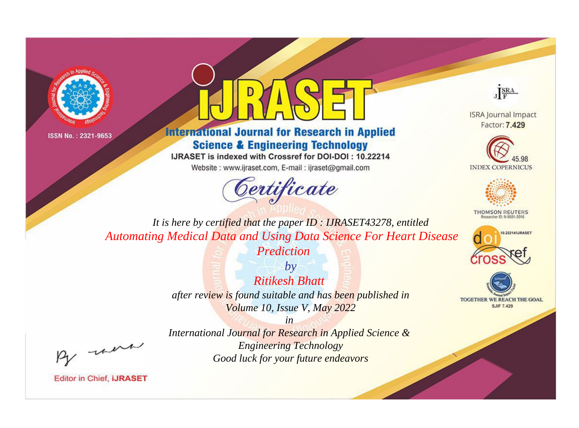



**International Journal for Research in Applied Science & Engineering Technology** 

IJRASET is indexed with Crossref for DOI-DOI: 10.22214

Website: www.ijraset.com, E-mail: ijraset@gmail.com



JERA

**ISRA Journal Impact** Factor: 7.429





**THOMSON REUTERS** 



TOGETHER WE REACH THE GOAL **SJIF 7.429** 

It is here by certified that the paper ID: IJRASET43278, entitled **Automating Medical Data and Using Data Science For Heart Disease** 

Prediction

 $b\nu$ **Ritikesh Bhatt** after review is found suitable and has been published in Volume 10, Issue V, May 2022

were

International Journal for Research in Applied Science & **Engineering Technology** Good luck for your future endeavors

 $in$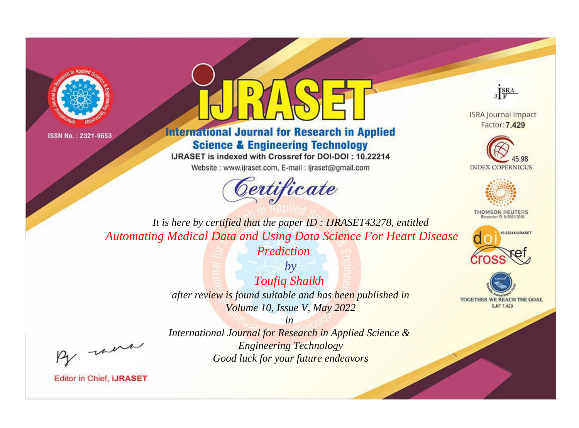



**International Journal for Research in Applied Science & Engineering Technology** 

IJRASET is indexed with Crossref for DOI-DOI: 10.22214

Website: www.ijraset.com, E-mail: ijraset@gmail.com





**ISRA Journal Impact** Factor: 7.429





**THOMSON REUTERS** 



TOGETHER WE REACH THE GOAL **SJIF 7.429** 

*It is here by certified that the paper ID : IJRASET43278, entitled Automating Medical Data and Using Data Science For Heart Disease* 

*Prediction*

*by Toufiq Shaikh after review is found suitable and has been published in Volume 10, Issue V, May 2022*

, un

*International Journal for Research in Applied Science & Engineering Technology Good luck for your future endeavors*

*in*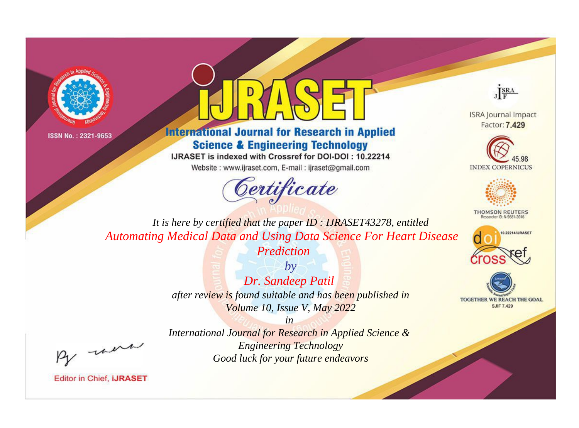



**International Journal for Research in Applied Science & Engineering Technology** 

IJRASET is indexed with Crossref for DOI-DOI: 10.22214

Website: www.ijraset.com, E-mail: ijraset@gmail.com





**ISRA Journal Impact** Factor: 7.429





**THOMSON REUTERS** 



TOGETHER WE REACH THE GOAL **SJIF 7.429** 

*It is here by certified that the paper ID : IJRASET43278, entitled Automating Medical Data and Using Data Science For Heart Disease* 

*Prediction*

*by Dr. Sandeep Patil after review is found suitable and has been published in Volume 10, Issue V, May 2022*

, un

*International Journal for Research in Applied Science & Engineering Technology Good luck for your future endeavors*

*in*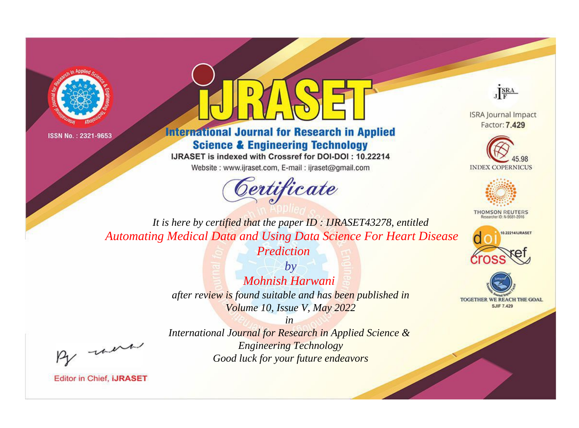



**International Journal for Research in Applied Science & Engineering Technology** 

IJRASET is indexed with Crossref for DOI-DOI: 10.22214

Website: www.ijraset.com, E-mail: ijraset@gmail.com





**ISRA Journal Impact** Factor: 7.429





**THOMSON REUTERS** 



TOGETHER WE REACH THE GOAL **SJIF 7.429** 

*It is here by certified that the paper ID : IJRASET43278, entitled Automating Medical Data and Using Data Science For Heart Disease* 

*Prediction*

*by Mohnish Harwani after review is found suitable and has been published in Volume 10, Issue V, May 2022*

, un

*International Journal for Research in Applied Science & Engineering Technology Good luck for your future endeavors*

*in*